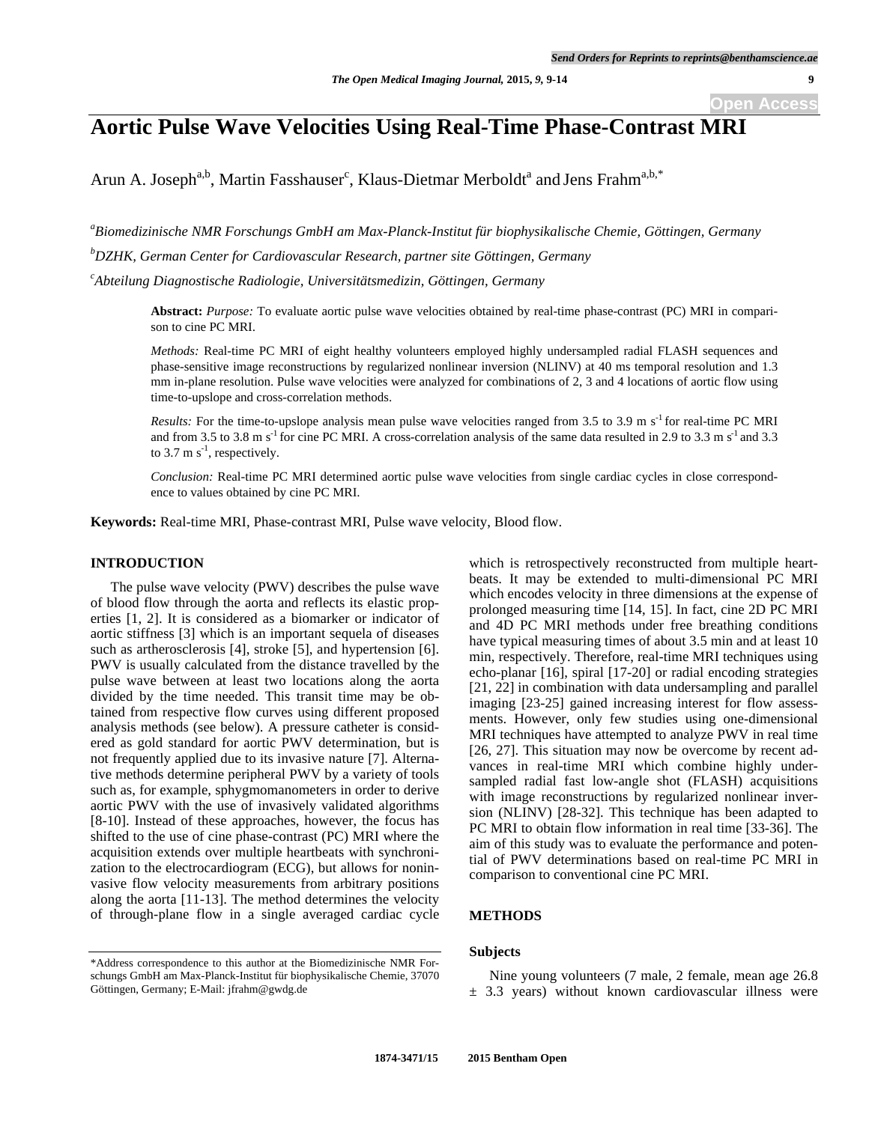# **Aortic Pulse Wave Velocities Using Real-Time Phase-Contrast MRI**

Arun A. Joseph<sup>a,b</sup>, Martin Fasshauser<sup>c</sup>, Klaus-Dietmar Merboldt<sup>a</sup> and Jens Frahm<sup>a,b,\*</sup>

*a Biomedizinische NMR Forschungs GmbH am Max-Planck-Institut für biophysikalische Chemie, Göttingen, Germany b DZHK, German Center for Cardiovascular Research, partner site Göttingen, Germany* 

*c Abteilung Diagnostische Radiologie, Universitätsmedizin, Göttingen, Germany* 

**Abstract:** *Purpose:* To evaluate aortic pulse wave velocities obtained by real-time phase-contrast (PC) MRI in comparison to cine PC MRI.

*Methods:* Real-time PC MRI of eight healthy volunteers employed highly undersampled radial FLASH sequences and phase-sensitive image reconstructions by regularized nonlinear inversion (NLINV) at 40 ms temporal resolution and 1.3 mm in-plane resolution. Pulse wave velocities were analyzed for combinations of 2, 3 and 4 locations of aortic flow using time-to-upslope and cross-correlation methods.

*Results:* For the time-to-upslope analysis mean pulse wave velocities ranged from 3.5 to 3.9 m s<sup>-1</sup> for real-time PC MRI and from 3.5 to 3.8 m s<sup>-1</sup> for cine PC MRI. A cross-correlation analysis of the same data resulted in 2.9 to 3.3 m s<sup>-1</sup> and 3.3 to 3.7 m  $s^{-1}$ , respectively.

*Conclusion:* Real-time PC MRI determined aortic pulse wave velocities from single cardiac cycles in close correspondence to values obtained by cine PC MRI.

**Keywords:** Real-time MRI, Phase-contrast MRI, Pulse wave velocity, Blood flow.

## **INTRODUCTION**

The pulse wave velocity (PWV) describes the pulse wave of blood flow through the aorta and reflects its elastic properties [1, 2]. It is considered as a biomarker or indicator of aortic stiffness [3] which is an important sequela of diseases such as artherosclerosis [4], stroke [5], and hypertension [6]. PWV is usually calculated from the distance travelled by the pulse wave between at least two locations along the aorta divided by the time needed. This transit time may be obtained from respective flow curves using different proposed analysis methods (see below). A pressure catheter is considered as gold standard for aortic PWV determination, but is not frequently applied due to its invasive nature [7]. Alternative methods determine peripheral PWV by a variety of tools such as, for example, sphygmomanometers in order to derive aortic PWV with the use of invasively validated algorithms [8-10]. Instead of these approaches, however, the focus has shifted to the use of cine phase-contrast (PC) MRI where the acquisition extends over multiple heartbeats with synchronization to the electrocardiogram (ECG), but allows for noninvasive flow velocity measurements from arbitrary positions along the aorta [11-13]. The method determines the velocity of through-plane flow in a single averaged cardiac cycle

\*Address correspondence to this author at the Biomedizinische NMR Forschungs GmbH am Max-Planck-Institut für biophysikalische Chemie, 37070 Göttingen, Germany; E-Mail: jfrahm@gwdg.de

which is retrospectively reconstructed from multiple heartbeats. It may be extended to multi-dimensional PC MRI which encodes velocity in three dimensions at the expense of prolonged measuring time [14, 15]. In fact, cine 2D PC MRI and 4D PC MRI methods under free breathing conditions have typical measuring times of about 3.5 min and at least 10 min, respectively. Therefore, real-time MRI techniques using echo-planar [16], spiral [17-20] or radial encoding strategies [21, 22] in combination with data undersampling and parallel imaging [23-25] gained increasing interest for flow assessments. However, only few studies using one-dimensional MRI techniques have attempted to analyze PWV in real time [26, 27]. This situation may now be overcome by recent advances in real-time MRI which combine highly undersampled radial fast low-angle shot (FLASH) acquisitions with image reconstructions by regularized nonlinear inversion (NLINV) [28-32]. This technique has been adapted to PC MRI to obtain flow information in real time [33-36]. The aim of this study was to evaluate the performance and potential of PWV determinations based on real-time PC MRI in comparison to conventional cine PC MRI.

#### **METHODS**

## **Subjects**

Nine young volunteers (7 male, 2 female, mean age 26.8  $\pm$  3.3 years) without known cardiovascular illness were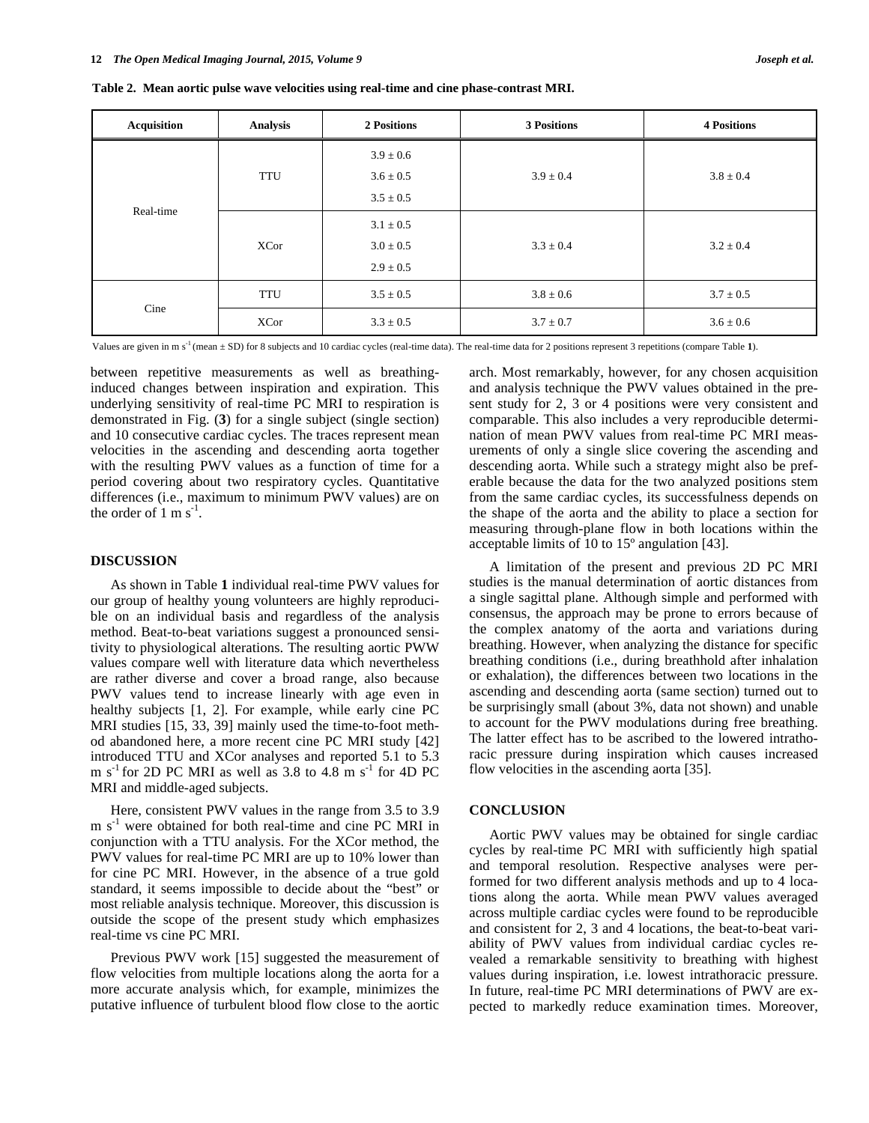| <b>Acquisition</b> | Analysis    | 2 Positions   | 3 Positions   | <b>4 Positions</b> |
|--------------------|-------------|---------------|---------------|--------------------|
| Real-time          | <b>TTU</b>  | $3.9 \pm 0.6$ | $3.9 \pm 0.4$ | $3.8 \pm 0.4$      |
|                    |             | $3.6 \pm 0.5$ |               |                    |
|                    |             | $3.5 \pm 0.5$ |               |                    |
|                    | XCor        | $3.1 \pm 0.5$ | $3.3 \pm 0.4$ | $3.2 \pm 0.4$      |
|                    |             | $3.0 \pm 0.5$ |               |                    |
|                    |             | $2.9 \pm 0.5$ |               |                    |
| Cine               | <b>TTU</b>  | $3.5 \pm 0.5$ | $3.8 \pm 0.6$ | $3.7 \pm 0.5$      |
|                    | <b>XCor</b> | $3.3 \pm 0.5$ | $3.7 \pm 0.7$ | $3.6 \pm 0.6$      |

**Table 2. Mean aortic pulse wave velocities using real-time and cine phase-contrast MRI.** 

Values are given in m s<sup>-1</sup> (mean ± SD) for 8 subjects and 10 cardiac cycles (real-time data). The real-time data for 2 positions represent 3 repetitions (compare Table 1).

between repetitive measurements as well as breathinginduced changes between inspiration and expiration. This underlying sensitivity of real-time PC MRI to respiration is demonstrated in Fig. (**3**) for a single subject (single section) and 10 consecutive cardiac cycles. The traces represent mean velocities in the ascending and descending aorta together with the resulting PWV values as a function of time for a period covering about two respiratory cycles. Quantitative differences (i.e., maximum to minimum PWV values) are on the order of 1 m  $s^{-1}$ .

#### **DISCUSSION**

As shown in Table **1** individual real-time PWV values for our group of healthy young volunteers are highly reproducible on an individual basis and regardless of the analysis method. Beat-to-beat variations suggest a pronounced sensitivity to physiological alterations. The resulting aortic PWW values compare well with literature data which nevertheless are rather diverse and cover a broad range, also because PWV values tend to increase linearly with age even in healthy subjects [1, 2]. For example, while early cine PC MRI studies [15, 33, 39] mainly used the time-to-foot method abandoned here, a more recent cine PC MRI study [42] introduced TTU and XCor analyses and reported 5.1 to 5.3 m s<sup>-1</sup> for 2D PC MRI as well as 3.8 to 4.8 m s<sup>-1</sup> for 4D PC MRI and middle-aged subjects.

Here, consistent PWV values in the range from 3.5 to 3.9  $m s<sup>-1</sup>$  were obtained for both real-time and cine PC MRI in conjunction with a TTU analysis. For the XCor method, the PWV values for real-time PC MRI are up to 10% lower than for cine PC MRI. However, in the absence of a true gold standard, it seems impossible to decide about the "best" or most reliable analysis technique. Moreover, this discussion is outside the scope of the present study which emphasizes real-time vs cine PC MRI.

Previous PWV work [15] suggested the measurement of flow velocities from multiple locations along the aorta for a more accurate analysis which, for example, minimizes the putative influence of turbulent blood flow close to the aortic

arch. Most remarkably, however, for any chosen acquisition and analysis technique the PWV values obtained in the present study for 2, 3 or 4 positions were very consistent and comparable. This also includes a very reproducible determination of mean PWV values from real-time PC MRI measurements of only a single slice covering the ascending and descending aorta. While such a strategy might also be preferable because the data for the two analyzed positions stem from the same cardiac cycles, its successfulness depends on the shape of the aorta and the ability to place a section for measuring through-plane flow in both locations within the acceptable limits of 10 to 15º angulation [43].

A limitation of the present and previous 2D PC MRI studies is the manual determination of aortic distances from a single sagittal plane. Although simple and performed with consensus, the approach may be prone to errors because of the complex anatomy of the aorta and variations during breathing. However, when analyzing the distance for specific breathing conditions (i.e., during breathhold after inhalation or exhalation), the differences between two locations in the ascending and descending aorta (same section) turned out to be surprisingly small (about 3%, data not shown) and unable to account for the PWV modulations during free breathing. The latter effect has to be ascribed to the lowered intrathoracic pressure during inspiration which causes increased flow velocities in the ascending aorta [35].

#### **CONCLUSION**

Aortic PWV values may be obtained for single cardiac cycles by real-time PC MRI with sufficiently high spatial and temporal resolution. Respective analyses were performed for two different analysis methods and up to 4 locations along the aorta. While mean PWV values averaged across multiple cardiac cycles were found to be reproducible and consistent for 2, 3 and 4 locations, the beat-to-beat variability of PWV values from individual cardiac cycles revealed a remarkable sensitivity to breathing with highest values during inspiration, i.e. lowest intrathoracic pressure. In future, real-time PC MRI determinations of PWV are expected to markedly reduce examination times. Moreover,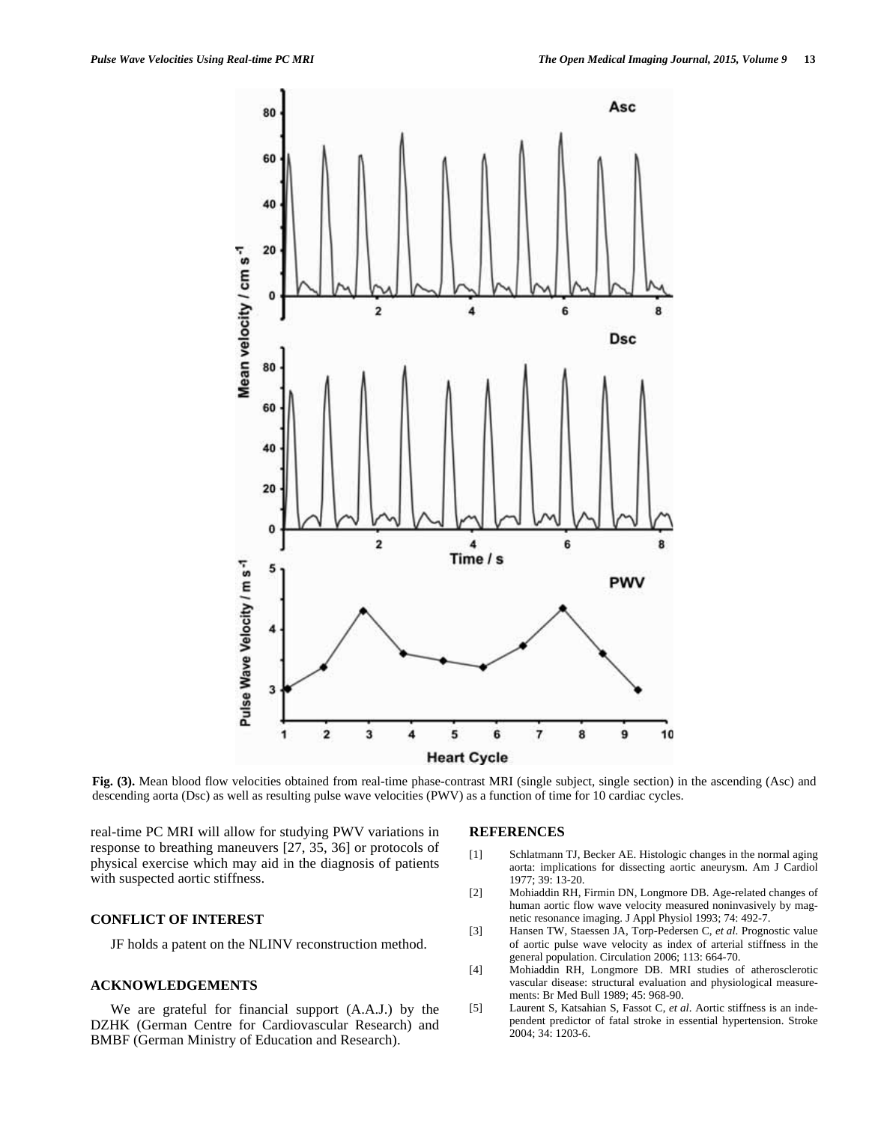**Fig. (3).** Mean blood flow velocities obtained from real-time phase-contrast MRI (single subject, single section) in the ascending (Asc) and descending aorta (Dsc) as well as resulting pulse wave velocities (PWV) as a function of time for 10 cardiac cycles.

real-time PC MRI will allow for studying PWV variations in response to breathing maneuvers [27, 35, 36] or protocols of physical exercise which may aid in the diagnosis of patients with suspected aortic stiffness.

## **CONFLICT OF INTEREST**

JF holds a patent on the NLINV reconstruction method.

## **ACKNOWLEDGEMENTS**

We are grateful for financial support (A.A.J.) by the DZHK (German Centre for Cardiovascular Research) and BMBF (German Ministry of Education and Research).

### **REFERENCES**

- [1] Schlatmann TJ, Becker AE. Histologic changes in the normal aging aorta: implications for dissecting aortic aneurysm. Am J Cardiol 1977; 39: 13-20.
- [2] Mohiaddin RH, Firmin DN, Longmore DB. Age-related changes of human aortic flow wave velocity measured noninvasively by magnetic resonance imaging. J Appl Physiol 1993; 74: 492-7.
- [3] Hansen TW, Staessen JA, Torp-Pedersen C, *et al*. Prognostic value of aortic pulse wave velocity as index of arterial stiffness in the general population. Circulation 2006; 113: 664-70.
- [4] Mohiaddin RH, Longmore DB. MRI studies of atherosclerotic vascular disease: structural evaluation and physiological measurements: Br Med Bull 1989; 45: 968-90.
- [5] Laurent S, Katsahian S, Fassot C, *et al*. Aortic stiffness is an independent predictor of fatal stroke in essential hypertension. Stroke 2004; 34: 1203-6.